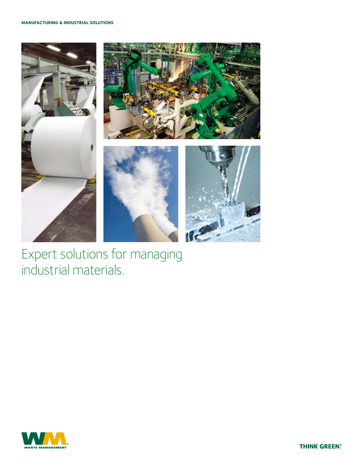## **Manufacturing & Industrial Solutions**



Expert solutions for managing industrial materials.



**THINK GREEN.**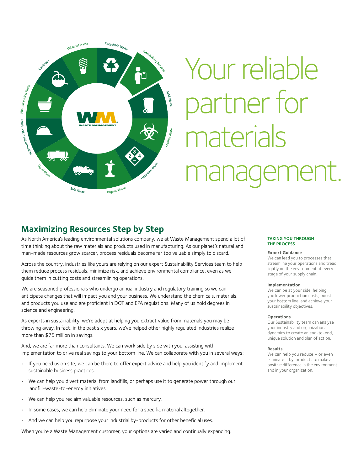

# Your reliable artner for materials ement.

# **Maximizing Resources Step by Step**

As North America's leading environmental solutions company, we at Waste Management spend a lot of time thinking about the raw materials and products used in manufacturing. As our planet's natural and man-made resources grow scarcer, process residuals become far too valuable simply to discard.

Across the country, industries like yours are relying on our expert Sustainability Services team to help them reduce process residuals, minimize risk, and achieve environmental compliance, even as we guide them in cutting costs and streamlining operations.

We are seasoned professionals who undergo annual industry and regulatory training so we can anticipate changes that will impact you and your business. We understand the chemicals, materials, and products you use and are proficient in DOT and EPA regulations. Many of us hold degrees in science and engineering.

As experts in sustainability, we're adept at helping you extract value from materials you may be throwing away. In fact, in the past six years, we've helped other highly regulated industries realize more than \$75 million in savings.

And, we are far more than consultants. We can work side by side with you, assisting with implementation to drive real savings to your bottom line. We can collaborate with you in several ways:

- • If you need us on site, we can be there to offer expert advice and help you identify and implement sustainable business practices.
- We can help you divert material from landfills, or perhaps use it to generate power through our landfill-waste-to-energy initiatives.
- We can help you reclaim valuable resources, such as mercury.
- In some cases, we can help eliminate your need for a specific material altogether.
- And we can help you repurpose your industrial by-products for other beneficial uses.

When you're a Waste Management customer, your options are varied and continually expanding.

## **Taking you through the process**

## **Expert Guidance**

We can lead you to processes that streamline your operations and tread lightly on the environment at every stage of your supply chain.

#### **Implementation**

We can be at your side, helping you lower production costs, boost your bottom line, and achieve your sustainability objectives.

### **Operations**

Our Sustainability team can analyze your industry and organizational dynamics to create an end-to-end, unique solution and plan of action.

#### **Results**

We can help you reduce - or even eliminate – by-products to make a positive difference in the environment and in your organization.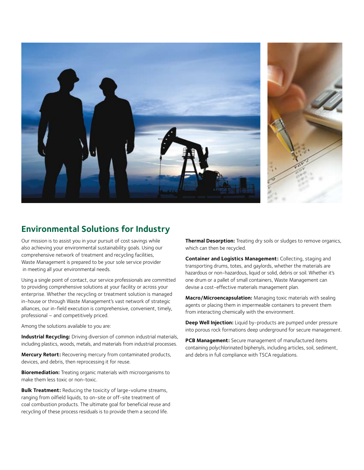

# **Environmental Solutions for Industry**

Our mission is to assist you in your pursuit of cost savings while also achieving your environmental sustainability goals. Using our comprehensive network of treatment and recycling facilities, Waste Management is prepared to be your sole service provider in meeting all your environmental needs.

Using a single point of contact, our service professionals are committed to providing comprehensive solutions at your facility or across your enterprise. Whether the recycling or treatment solution is managed in-house or through Waste Management's vast network of strategic alliances, our in-field execution is comprehensive, convenient, timely, professional – and competitively priced.

Among the solutions available to you are:

**Industrial Recycling:** Driving diversion of common industrial materials, including plastics, woods, metals, and materials from industrial processes.

**Mercury Retort:** Recovering mercury from contaminated products, devices, and debris, then reprocessing it for reuse.

**Bioremediation:** Treating organic materials with microorganisms to make them less toxic or non-toxic.

**Bulk Treatment:** Reducing the toxicity of large-volume streams, ranging from oilfield liquids, to on-site or off-site treatment of coal combustion products. The ultimate goal for beneficial reuse and recycling of these process residuals is to provide them a second life.

**Thermal Desorption:** Treating dry soils or sludges to remove organics, which can then be recycled.

**Container and Logistics Management:** Collecting, staging and transporting drums, totes, and gaylords, whether the materials are hazardous or non-hazardous, liquid or solid, debris or soil. Whether it's one drum or a pallet of small containers, Waste Management can devise a cost-effective materials management plan.

**Macro/Microencapsulation:** Managing toxic materials with sealing agents or placing them in impermeable containers to prevent them from interacting chemically with the environment.

**Deep Well Injection:** Liquid by-products are pumped under pressure into porous rock formations deep underground for secure management.

**PCB Management:** Secure management of manufactured items containing polychlorinated biphenyls, including articles, soil, sediment, and debris in full compliance with TSCA regulations.